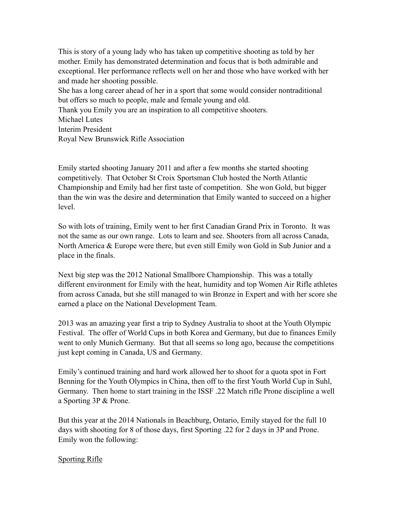This is story of a young lady who has taken up competitive shooting as told by her mother. Emily has demonstrated determination and focus that is both admirable and exceptional. Her performance reflects well on her and those who have worked with her and made her shooting possible.

She has a long career ahead of her in a sport that some would consider nontraditional but offers so much to people, male and female young and old.

Thank you Emily you are an inspiration to all competitive shooters.

Michael Lutes

Interim President

Royal New Brunswick Rifle Association

Emily started shooting January 2011 and after a few months she started shooting competitively. That October St Croix Sportsman Club hosted the North Atlantic Championship and Emily had her first taste of competition. She won Gold, but bigger than the win was the desire and determination that Emily wanted to succeed on a higher level.

So with lots of training, Emily went to her first Canadian Grand Prix in Toronto. It was not the same as our own range. Lots to learn and see. Shooters from all across Canada, North America & Europe were there, but even still Emily won Gold in Sub Junior and a place in the finals.

Next big step was the 2012 National Smallbore Championship. This was a totally different environment for Emily with the heat, humidity and top Women Air Rifle athletes from across Canada, but she still managed to win Bronze in Expert and with her score she earned a place on the National Development Team.

2013 was an amazing year first a trip to Sydney Australia to shoot at the Youth Olympic Festival. The offer of World Cups in both Korea and Germany, but due to finances Emily went to only Munich Germany. But that all seems so long ago, because the competitions just kept coming in Canada, US and Germany.

Emily's continued training and hard work allowed her to shoot for a quota spot in Fort Benning for the Youth Olympics in China, then off to the first Youth World Cup in Suhl, Germany. Then home to start training in the ISSF .22 Match rifle Prone discipline a well a Sporting 3P & Prone.

But this year at the 2014 Nationals in Beachburg, Ontario, Emily stayed for the full 10 days with shooting for 8 of those days, first Sporting .22 for 2 days in 3P and Prone. Emily won the following:

## Sporting Rifle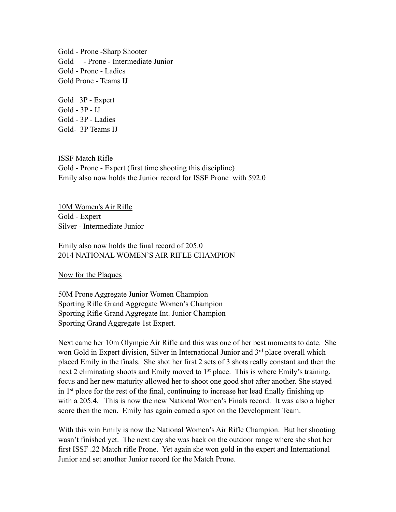Gold - Prone -Sharp Shooter Gold - Prone - Intermediate Junior Gold - Prone - Ladies Gold Prone - Teams IJ

Gold 3P - Expert Gold - 3P - IJ Gold - 3P - Ladies Gold- 3P Teams IJ

ISSF Match Rifle Gold - Prone - Expert (first time shooting this discipline) Emily also now holds the Junior record for ISSF Prone with 592.0

10M Women's Air Rifle Gold - Expert Silver - Intermediate Junior

Emily also now holds the final record of 205.0 2014 NATIONAL WOMEN'S AIR RIFLE CHAMPION

Now for the Plaques

50M Prone Aggregate Junior Women Champion Sporting Rifle Grand Aggregate Women's Champion Sporting Rifle Grand Aggregate Int. Junior Champion Sporting Grand Aggregate 1st Expert.

Next came her 10m Olympic Air Rifle and this was one of her best moments to date. She won Gold in Expert division, Silver in International Junior and 3<sup>rd</sup> place overall which placed Emily in the finals. She shot her first 2 sets of 3 shots really constant and then the next 2 eliminating shoots and Emily moved to  $1<sup>st</sup>$  place. This is where Emily's training, focus and her new maturity allowed her to shoot one good shot after another. She stayed in  $1<sup>st</sup>$  place for the rest of the final, continuing to increase her lead finally finishing up with a 205.4. This is now the new National Women's Finals record. It was also a higher score then the men. Emily has again earned a spot on the Development Team.

With this win Emily is now the National Women's Air Rifle Champion. But her shooting wasn't finished yet. The next day she was back on the outdoor range where she shot her first ISSF .22 Match rifle Prone. Yet again she won gold in the expert and International Junior and set another Junior record for the Match Prone.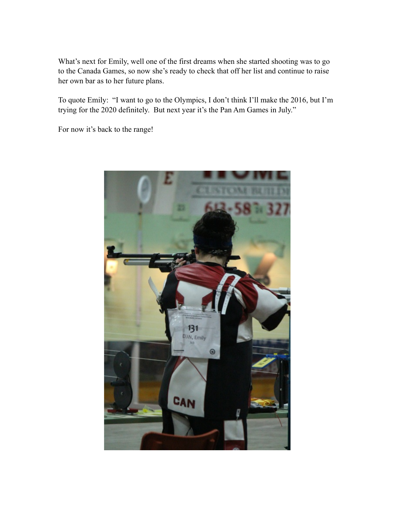What's next for Emily, well one of the first dreams when she started shooting was to go to the Canada Games, so now she's ready to check that off her list and continue to raise her own bar as to her future plans.

To quote Emily: "I want to go to the Olympics, I don't think I'll make the 2016, but I'm trying for the 2020 definitely. But next year it's the Pan Am Games in July."

For now it's back to the range!